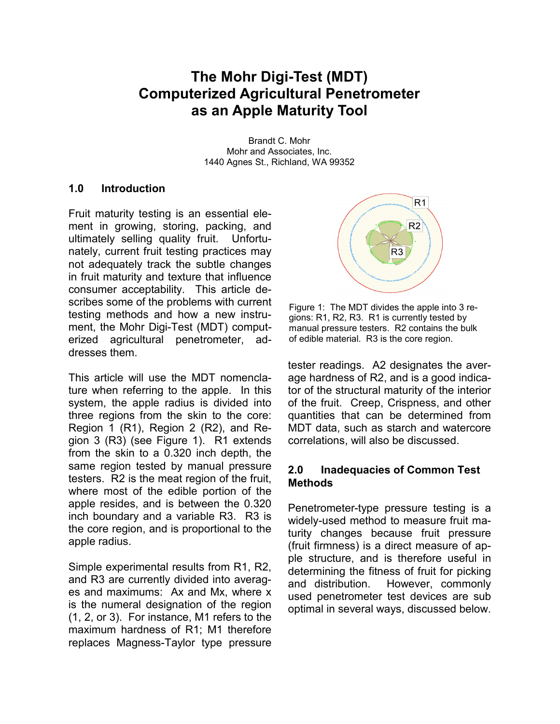# **The Mohr Digi-Test (MDT) Computerized Agricultural Penetrometer as an Apple Maturity Tool**

Brandt C. Mohr Mohr and Associates, Inc. 1440 Agnes St., Richland, WA 99352

# **1.0 Introduction**

Fruit maturity testing is an essential element in growing, storing, packing, and ultimately selling quality fruit. Unfortunately, current fruit testing practices may not adequately track the subtle changes in fruit maturity and texture that influence consumer acceptability. This article describes some of the problems with current testing methods and how a new instrument, the Mohr Digi-Test (MDT) computerized agricultural penetrometer, addresses them.

This article will use the MDT nomenclature when referring to the apple. In this system, the apple radius is divided into three regions from the skin to the core: Region 1 (R1), Region 2 (R2), and Region 3 (R3) (see Figure 1). R1 extends from the skin to a 0.320 inch depth, the same region tested by manual pressure testers. R2 is the meat region of the fruit, where most of the edible portion of the apple resides, and is between the 0.320 inch boundary and a variable R3. R3 is the core region, and is proportional to the apple radius.

Simple experimental results from R1, R2, and R3 are currently divided into averages and maximums: Ax and Mx, where x is the numeral designation of the region (1, 2, or 3). For instance, M1 refers to the maximum hardness of R1; M1 therefore replaces Magness-Taylor type pressure



Figure 1: The MDT divides the apple into 3 regions: R1, R2, R3. R1 is currently tested by manual pressure testers. R2 contains the bulk of edible material. R3 is the core region.

tester readings. A2 designates the average hardness of R2, and is a good indicator of the structural maturity of the interior of the fruit. Creep, Crispness, and other quantities that can be determined from MDT data, such as starch and watercore correlations, will also be discussed.

# **2.0 Inadequacies of Common Test Methods**

Penetrometer-type pressure testing is a widely-used method to measure fruit maturity changes because fruit pressure (fruit firmness) is a direct measure of apple structure, and is therefore useful in determining the fitness of fruit for picking and distribution. However, commonly used penetrometer test devices are sub optimal in several ways, discussed below.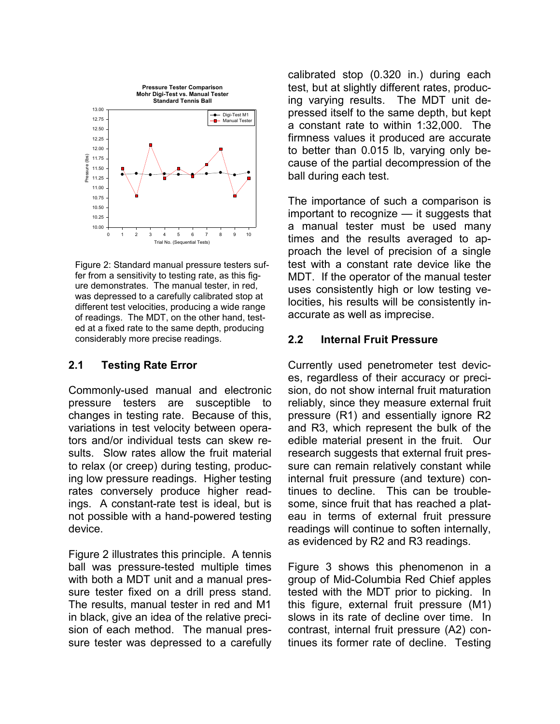

Figure 2: Standard manual pressure testers suffer from a sensitivity to testing rate, as this figure demonstrates. The manual tester, in red, was depressed to a carefully calibrated stop at different test velocities, producing a wide range of readings. The MDT, on the other hand, tested at a fixed rate to the same depth, producing considerably more precise readings.

# **2.1 Testing Rate Error**

Commonly-used manual and electronic pressure testers are susceptible to changes in testing rate. Because of this, variations in test velocity between operators and/or individual tests can skew results. Slow rates allow the fruit material to relax (or creep) during testing, producing low pressure readings. Higher testing rates conversely produce higher readings. A constant-rate test is ideal, but is not possible with a hand-powered testing device.

Figure 2 illustrates this principle. A tennis ball was pressure-tested multiple times with both a MDT unit and a manual pressure tester fixed on a drill press stand. The results, manual tester in red and M1 in black, give an idea of the relative precision of each method. The manual pressure tester was depressed to a carefully calibrated stop (0.320 in.) during each test, but at slightly different rates, producing varying results. The MDT unit depressed itself to the same depth, but kept a constant rate to within 1:32,000. The firmness values it produced are accurate to better than 0.015 lb, varying only because of the partial decompression of the ball during each test.

The importance of such a comparison is important to recognize — it suggests that a manual tester must be used many times and the results averaged to approach the level of precision of a single test with a constant rate device like the MDT. If the operator of the manual tester uses consistently high or low testing velocities, his results will be consistently inaccurate as well as imprecise.

# **2.2 Internal Fruit Pressure**

Currently used penetrometer test devices, regardless of their accuracy or precision, do not show internal fruit maturation reliably, since they measure external fruit pressure (R1) and essentially ignore R2 and R3, which represent the bulk of the edible material present in the fruit. Our research suggests that external fruit pressure can remain relatively constant while internal fruit pressure (and texture) continues to decline. This can be troublesome, since fruit that has reached a plateau in terms of external fruit pressure readings will continue to soften internally, as evidenced by R2 and R3 readings.

Figure 3 shows this phenomenon in a group of Mid-Columbia Red Chief apples tested with the MDT prior to picking. In this figure, external fruit pressure (M1) slows in its rate of decline over time. In contrast, internal fruit pressure (A2) continues its former rate of decline. Testing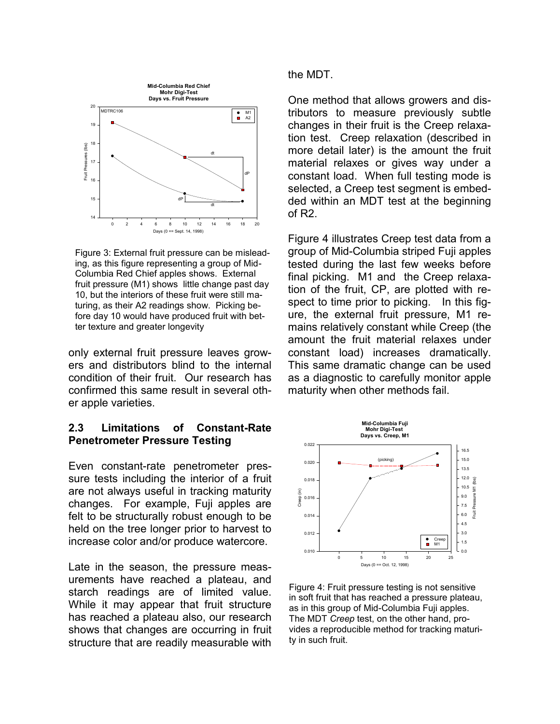

Figure 3: External fruit pressure can be misleading, as this figure representing a group of Mid-Columbia Red Chief apples shows. External fruit pressure (M1) shows little change past day 10, but the interiors of these fruit were still maturing, as their A2 readings show. Picking before day 10 would have produced fruit with better texture and greater longevity

only external fruit pressure leaves growers and distributors blind to the internal condition of their fruit. Our research has confirmed this same result in several other apple varieties.

# **2.3 Limitations of Constant-Rate Penetrometer Pressure Testing**

Even constant-rate penetrometer pressure tests including the interior of a fruit are not always useful in tracking maturity changes. For example, Fuji apples are felt to be structurally robust enough to be held on the tree longer prior to harvest to increase color and/or produce watercore.

Late in the season, the pressure measurements have reached a plateau, and starch readings are of limited value. While it may appear that fruit structure has reached a plateau also, our research shows that changes are occurring in fruit structure that are readily measurable with the MDT.

One method that allows growers and distributors to measure previously subtle changes in their fruit is the Creep relaxation test. Creep relaxation (described in more detail later) is the amount the fruit material relaxes or gives way under a constant load. When full testing mode is selected, a Creep test segment is embedded within an MDT test at the beginning of R2.

Figure 4 illustrates Creep test data from a group of Mid-Columbia striped Fuji apples tested during the last few weeks before final picking. M1 and the Creep relaxation of the fruit, CP, are plotted with respect to time prior to picking. In this figure, the external fruit pressure, M1 remains relatively constant while Creep (the amount the fruit material relaxes under constant load) increases dramatically. This same dramatic change can be used as a diagnostic to carefully monitor apple maturity when other methods fail.



Figure 4: Fruit pressure testing is not sensitive in soft fruit that has reached a pressure plateau, as in this group of Mid-Columbia Fuji apples. The MDT *Creep* test, on the other hand, provides a reproducible method for tracking maturity in such fruit.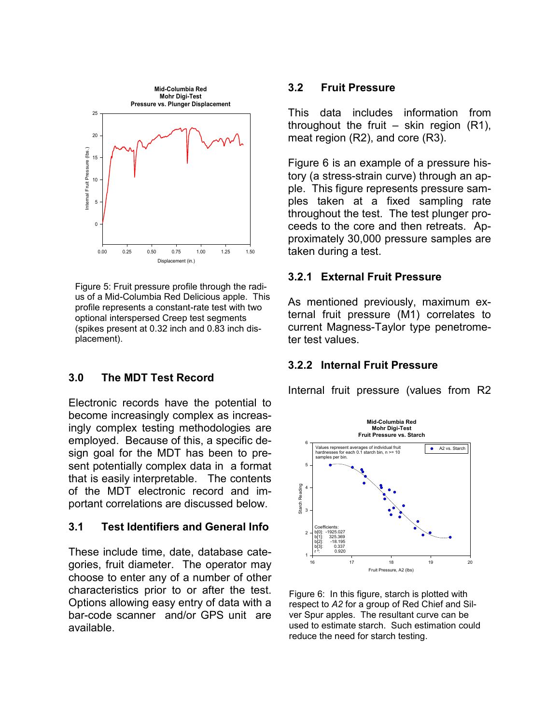

Figure 5: Fruit pressure profile through the radius of a Mid-Columbia Red Delicious apple. This profile represents a constant-rate test with two optional interspersed Creep test segments (spikes present at 0.32 inch and 0.83 inch displacement).

# **3.0 The MDT Test Record**

Electronic records have the potential to become increasingly complex as increasingly complex testing methodologies are employed. Because of this, a specific design goal for the MDT has been to present potentially complex data in a format that is easily interpretable. The contents of the MDT electronic record and important correlations are discussed below.

### **3.1 Test Identifiers and General Info**

These include time, date, database categories, fruit diameter. The operator may choose to enter any of a number of other characteristics prior to or after the test. Options allowing easy entry of data with a bar-code scanner and/or GPS unit are available.

#### **3.2 Fruit Pressure**

This data includes information from throughout the fruit  $-$  skin region (R1), meat region (R2), and core (R3).

Figure 6 is an example of a pressure history (a stress-strain curve) through an apple. This figure represents pressure samples taken at a fixed sampling rate throughout the test. The test plunger proceeds to the core and then retreats. Approximately 30,000 pressure samples are taken during a test.

### **3.2.1 External Fruit Pressure**

As mentioned previously, maximum external fruit pressure (M1) correlates to current Magness-Taylor type penetrometer test values.

#### **3.2.2 Internal Fruit Pressure**

Internal fruit pressure (values from R2



Figure 6: In this figure, starch is plotted with respect to *A2* for a group of Red Chief and Silver Spur apples. The resultant curve can be used to estimate starch. Such estimation could reduce the need for starch testing.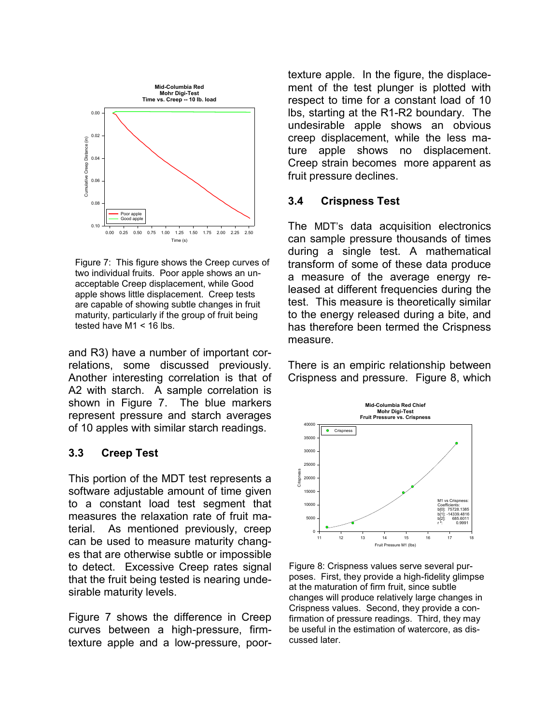

Figure 7: This figure shows the Creep curves of two individual fruits. Poor apple shows an unacceptable Creep displacement, while Good apple shows little displacement. Creep tests are capable of showing subtle changes in fruit maturity, particularly if the group of fruit being tested have M1 < 16 lbs.

and R3) have a number of important correlations, some discussed previously. Another interesting correlation is that of A2 with starch. A sample correlation is shown in Figure 7. The blue markers represent pressure and starch averages of 10 apples with similar starch readings.

# **3.3 Creep Test**

This portion of the MDT test represents a software adjustable amount of time given to a constant load test segment that measures the relaxation rate of fruit material. As mentioned previously, creep can be used to measure maturity changes that are otherwise subtle or impossible to detect. Excessive Creep rates signal that the fruit being tested is nearing undesirable maturity levels.

Figure 7 shows the difference in Creep curves between a high-pressure, firmtexture apple and a low-pressure, poortexture apple. In the figure, the displacement of the test plunger is plotted with respect to time for a constant load of 10 lbs, starting at the R1-R2 boundary. The undesirable apple shows an obvious creep displacement, while the less mature apple shows no displacement. Creep strain becomes more apparent as fruit pressure declines.

### **3.4 Crispness Test**

The MDT's data acquisition electronics can sample pressure thousands of times during a single test. A mathematical transform of some of these data produce a measure of the average energy released at different frequencies during the test. This measure is theoretically similar to the energy released during a bite, and has therefore been termed the Crispness measure.

There is an empiric relationship between Crispness and pressure. Figure 8, which



Figure 8: Crispness values serve several purposes. First, they provide a high-fidelity glimpse at the maturation of firm fruit, since subtle changes will produce relatively large changes in Crispness values. Second, they provide a confirmation of pressure readings. Third, they may be useful in the estimation of watercore, as discussed later.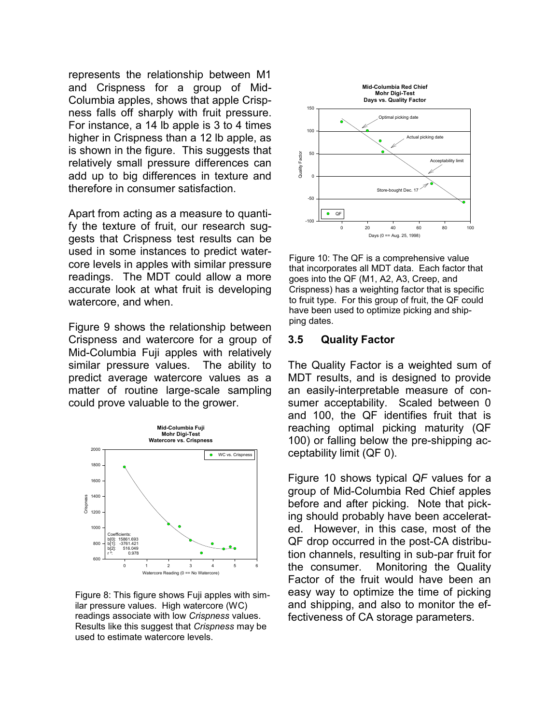represents the relationship between M1 and Crispness for a group of Mid-Columbia apples, shows that apple Crispness falls off sharply with fruit pressure. For instance, a 14 lb apple is 3 to 4 times higher in Crispness than a 12 lb apple, as is shown in the figure. This suggests that relatively small pressure differences can add up to big differences in texture and therefore in consumer satisfaction.

Apart from acting as a measure to quantify the texture of fruit, our research suggests that Crispness test results can be used in some instances to predict watercore levels in apples with similar pressure readings. The MDT could allow a more accurate look at what fruit is developing watercore, and when.

Figure 9 shows the relationship between Crispness and watercore for a group of Mid-Columbia Fuji apples with relatively similar pressure values. The ability to predict average watercore values as a matter of routine large-scale sampling could prove valuable to the grower.



Figure 8: This figure shows Fuji apples with similar pressure values. High watercore (WC) readings associate with low *Crispness* values. Results like this suggest that *Crispness* may be used to estimate watercore levels.



Figure 10: The QF is a comprehensive value that incorporates all MDT data. Each factor that goes into the QF (M1, A2, A3, Creep, and Crispness) has a weighting factor that is specific to fruit type. For this group of fruit, the QF could have been used to optimize picking and shipping dates.

#### **3.5 Quality Factor**

The Quality Factor is a weighted sum of MDT results, and is designed to provide an easily-interpretable measure of consumer acceptability. Scaled between 0 and 100, the QF identifies fruit that is reaching optimal picking maturity (QF 100) or falling below the pre-shipping acceptability limit (QF 0).

Figure 10 shows typical *QF* values for a group of Mid-Columbia Red Chief apples before and after picking. Note that picking should probably have been accelerated. However, in this case, most of the QF drop occurred in the post-CA distribution channels, resulting in sub-par fruit for the consumer. Monitoring the Quality Factor of the fruit would have been an easy way to optimize the time of picking and shipping, and also to monitor the effectiveness of CA storage parameters.